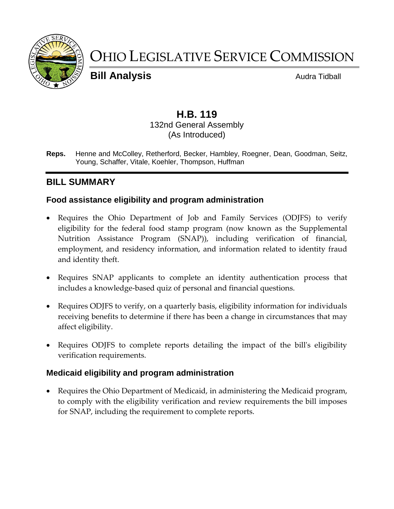

# OHIO LEGISLATIVE SERVICE COMMISSION

**Bill Analysis Audra Tidball** 

# **H.B. 119**

#### 132nd General Assembly (As Introduced)

**Reps.** Henne and McColley, Retherford, Becker, Hambley, Roegner, Dean, Goodman, Seitz, Young, Schaffer, Vitale, Koehler, Thompson, Huffman

# **BILL SUMMARY**

## **Food assistance eligibility and program administration**

- Requires the Ohio Department of Job and Family Services (ODJFS) to verify eligibility for the federal food stamp program (now known as the Supplemental Nutrition Assistance Program (SNAP)), including verification of financial, employment, and residency information, and information related to identity fraud and identity theft.
- Requires SNAP applicants to complete an identity authentication process that includes a knowledge-based quiz of personal and financial questions.
- Requires ODJFS to verify, on a quarterly basis, eligibility information for individuals receiving benefits to determine if there has been a change in circumstances that may affect eligibility.
- Requires ODJFS to complete reports detailing the impact of the bill's eligibility verification requirements.

## **Medicaid eligibility and program administration**

 Requires the Ohio Department of Medicaid, in administering the Medicaid program, to comply with the eligibility verification and review requirements the bill imposes for SNAP, including the requirement to complete reports.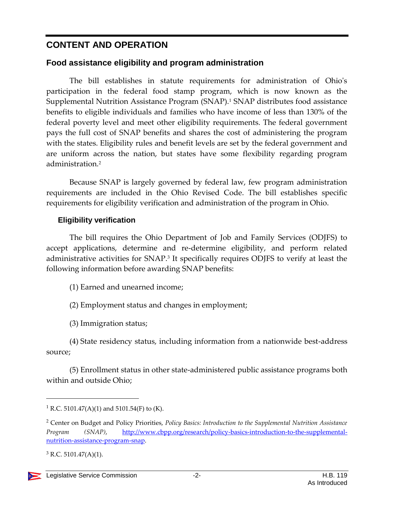# **CONTENT AND OPERATION**

## **Food assistance eligibility and program administration**

The bill establishes in statute requirements for administration of Ohio's participation in the federal food stamp program, which is now known as the Supplemental Nutrition Assistance Program (SNAP).<sup>1</sup> SNAP distributes food assistance benefits to eligible individuals and families who have income of less than 130% of the federal poverty level and meet other eligibility requirements. The federal government pays the full cost of SNAP benefits and shares the cost of administering the program with the states. Eligibility rules and benefit levels are set by the federal government and are uniform across the nation, but states have some flexibility regarding program administration.<sup>2</sup>

Because SNAP is largely governed by federal law, few program administration requirements are included in the Ohio Revised Code. The bill establishes specific requirements for eligibility verification and administration of the program in Ohio.

#### **Eligibility verification**

The bill requires the Ohio Department of Job and Family Services (ODJFS) to accept applications, determine and re-determine eligibility, and perform related administrative activities for SNAP.<sup>3</sup> It specifically requires ODJFS to verify at least the following information before awarding SNAP benefits:

- (1) Earned and unearned income;
- (2) Employment status and changes in employment;
- (3) Immigration status;

(4) State residency status, including information from a nationwide best-address source;

(5) Enrollment status in other state-administered public assistance programs both within and outside Ohio;

<sup>&</sup>lt;sup>1</sup> R.C. 5101.47(A)(1) and 5101.54(F) to (K).

<sup>2</sup> Center on Budget and Policy Priorities, *Policy Basics: Introduction to the Supplemental Nutrition Assistance Program (SNAP)*, [http://www.cbpp.org/research/policy-basics-introduction-to-the-supplemental](http://www.cbpp.org/research/policy-basics-introduction-to-the-supplemental-nutrition-assistance-program-snap)[nutrition-assistance-program-snap.](http://www.cbpp.org/research/policy-basics-introduction-to-the-supplemental-nutrition-assistance-program-snap)

 $3$  R.C. 5101.47(A)(1).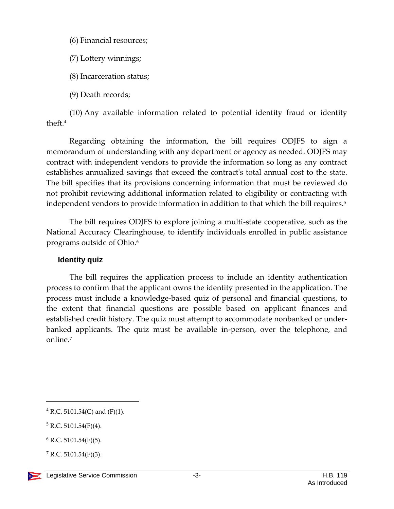(6) Financial resources;

(7) Lottery winnings;

(8) Incarceration status;

(9) Death records;

(10) Any available information related to potential identity fraud or identity theft.<sup>4</sup>

Regarding obtaining the information, the bill requires ODJFS to sign a memorandum of understanding with any department or agency as needed. ODJFS may contract with independent vendors to provide the information so long as any contract establishes annualized savings that exceed the contract's total annual cost to the state. The bill specifies that its provisions concerning information that must be reviewed do not prohibit reviewing additional information related to eligibility or contracting with independent vendors to provide information in addition to that which the bill requires.<sup>5</sup>

The bill requires ODJFS to explore joining a multi-state cooperative, such as the National Accuracy Clearinghouse, to identify individuals enrolled in public assistance programs outside of Ohio.<sup>6</sup>

#### **Identity quiz**

The bill requires the application process to include an identity authentication process to confirm that the applicant owns the identity presented in the application. The process must include a knowledge-based quiz of personal and financial questions, to the extent that financial questions are possible based on applicant finances and established credit history. The quiz must attempt to accommodate nonbanked or underbanked applicants. The quiz must be available in-person, over the telephone, and online.<sup>7</sup>

 $7 R.C. 5101.54(F)(3)$ .



 $4$  R.C. 5101.54(C) and (F)(1).

 $5 R.C. 5101.54(F)(4)$ .

 $6$  R.C. 5101.54(F)(5).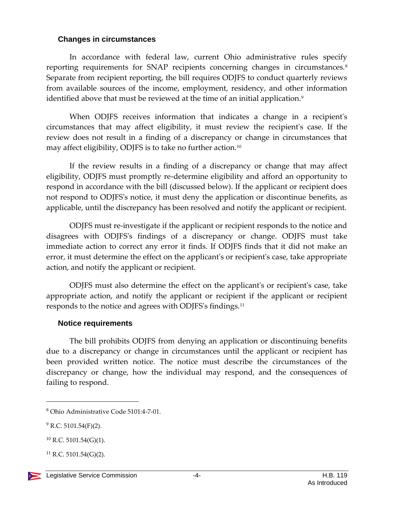#### **Changes in circumstances**

In accordance with federal law, current Ohio administrative rules specify reporting requirements for SNAP recipients concerning changes in circumstances.<sup>8</sup> Separate from recipient reporting, the bill requires ODJFS to conduct quarterly reviews from available sources of the income, employment, residency, and other information identified above that must be reviewed at the time of an initial application.<sup>9</sup>

When ODJFS receives information that indicates a change in a recipient's circumstances that may affect eligibility, it must review the recipient's case. If the review does not result in a finding of a discrepancy or change in circumstances that may affect eligibility, ODJFS is to take no further action.<sup>10</sup>

If the review results in a finding of a discrepancy or change that may affect eligibility, ODJFS must promptly re-determine eligibility and afford an opportunity to respond in accordance with the bill (discussed below). If the applicant or recipient does not respond to ODJFS's notice, it must deny the application or discontinue benefits, as applicable, until the discrepancy has been resolved and notify the applicant or recipient.

ODJFS must re-investigate if the applicant or recipient responds to the notice and disagrees with ODJFS's findings of a discrepancy or change. ODJFS must take immediate action to correct any error it finds. If ODJFS finds that it did not make an error, it must determine the effect on the applicant's or recipient's case, take appropriate action, and notify the applicant or recipient.

ODJFS must also determine the effect on the applicant's or recipient's case, take appropriate action, and notify the applicant or recipient if the applicant or recipient responds to the notice and agrees with ODJFS's findings.<sup>11</sup>

#### **Notice requirements**

The bill prohibits ODJFS from denying an application or discontinuing benefits due to a discrepancy or change in circumstances until the applicant or recipient has been provided written notice. The notice must describe the circumstances of the discrepancy or change, how the individual may respond, and the consequences of failing to respond.

<sup>8</sup> Ohio Administrative Code 5101:4-7-01.

 $9$  R.C. 5101.54(F)(2).

 $10$  R.C. 5101.54(G)(1).

 $^{11}$  R.C. 5101.54(G)(2).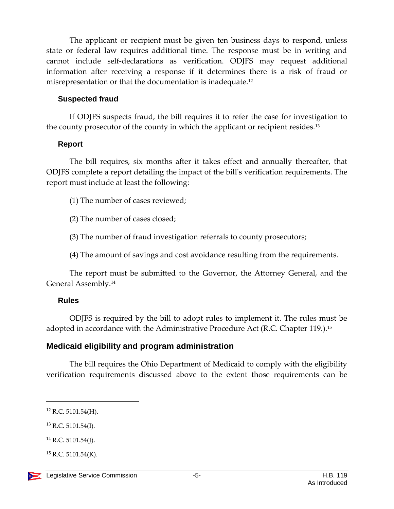The applicant or recipient must be given ten business days to respond, unless state or federal law requires additional time. The response must be in writing and cannot include self-declarations as verification. ODJFS may request additional information after receiving a response if it determines there is a risk of fraud or misrepresentation or that the documentation is inadequate.<sup>12</sup>

#### **Suspected fraud**

If ODJFS suspects fraud, the bill requires it to refer the case for investigation to the county prosecutor of the county in which the applicant or recipient resides.<sup>13</sup>

#### **Report**

The bill requires, six months after it takes effect and annually thereafter, that ODJFS complete a report detailing the impact of the bill's verification requirements. The report must include at least the following:

(1) The number of cases reviewed;

(2) The number of cases closed;

(3) The number of fraud investigation referrals to county prosecutors;

(4) The amount of savings and cost avoidance resulting from the requirements.

The report must be submitted to the Governor, the Attorney General, and the General Assembly.<sup>14</sup>

#### **Rules**

ODJFS is required by the bill to adopt rules to implement it. The rules must be adopted in accordance with the Administrative Procedure Act (R.C. Chapter 119.).<sup>15</sup>

## **Medicaid eligibility and program administration**

The bill requires the Ohio Department of Medicaid to comply with the eligibility verification requirements discussed above to the extent those requirements can be

 $\overline{a}$ 

 $13$  R.C. 5101.54(I).

 $12$  R.C. 5101.54(H).

 $14$  R.C. 5101.54(J).

 $^{15}$  R.C. 5101.54(K).